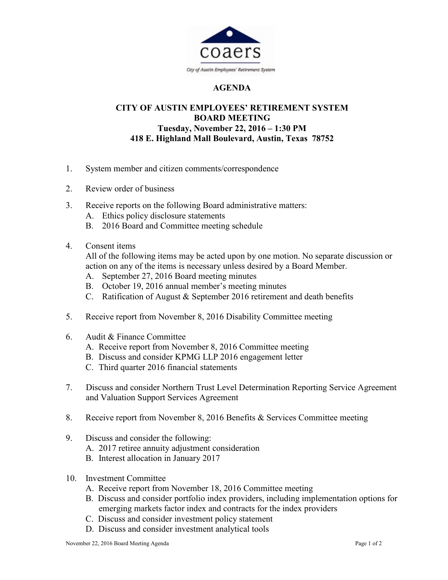

## AGENDA

## CITY OF AUSTIN EMPLOYEES' RETIREMENT SYSTEM BOARD MEETING Tuesday, November 22, 2016 – 1:30 PM 418 E. Highland Mall Boulevard, Austin, Texas 78752

- 1. System member and citizen comments/correspondence
- 2. Review order of business
- 3. Receive reports on the following Board administrative matters:
	- A. Ethics policy disclosure statements
	- B. 2016 Board and Committee meeting schedule
- 4. Consent items

All of the following items may be acted upon by one motion. No separate discussion or action on any of the items is necessary unless desired by a Board Member.

- A. September 27, 2016 Board meeting minutes
- B. October 19, 2016 annual member's meeting minutes
- C. Ratification of August & September 2016 retirement and death benefits
- 5. Receive report from November 8, 2016 Disability Committee meeting
- 6. Audit & Finance Committee
	- A. Receive report from November 8, 2016 Committee meeting
	- B. Discuss and consider KPMG LLP 2016 engagement letter
	- C. Third quarter 2016 financial statements
- 7. Discuss and consider Northern Trust Level Determination Reporting Service Agreement and Valuation Support Services Agreement
- 8. Receive report from November 8, 2016 Benefits & Services Committee meeting
- 9. Discuss and consider the following:
	- A. 2017 retiree annuity adjustment consideration
	- B. Interest allocation in January 2017
- 10. Investment Committee
	- A. Receive report from November 18, 2016 Committee meeting
	- B. Discuss and consider portfolio index providers, including implementation options for emerging markets factor index and contracts for the index providers
	- C. Discuss and consider investment policy statement
	- D. Discuss and consider investment analytical tools